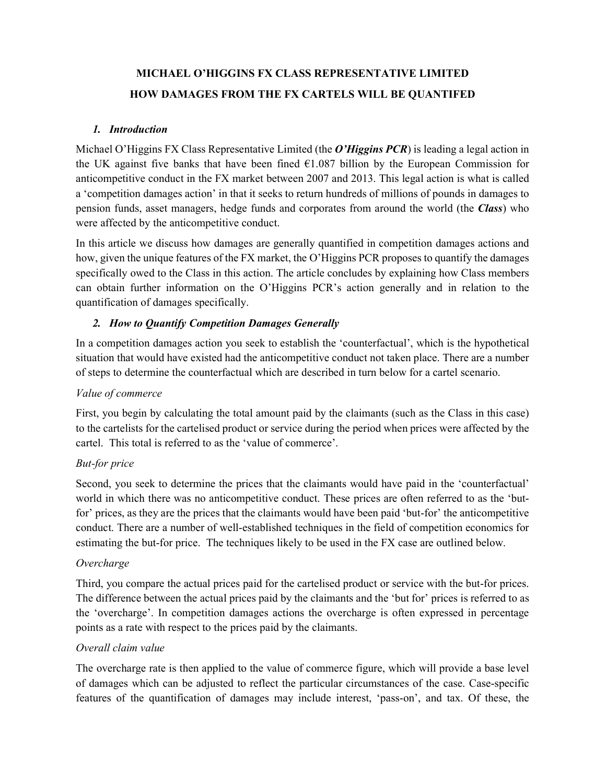# **MICHAEL O'HIGGINS FX CLASS REPRESENTATIVE LIMITED HOW DAMAGES FROM THE FX CARTELS WILL BE QUANTIFED**

#### *1. Introduction*

Michael O'Higgins FX Class Representative Limited (the *O'Higgins PCR*) is leading a legal action in the UK against five banks that have been fined  $E1.087$  billion by the European Commission for anticompetitive conduct in the FX market between 2007 and 2013. This legal action is what is called a 'competition damages action' in that it seeks to return hundreds of millions of pounds in damages to pension funds, asset managers, hedge funds and corporates from around the world (the *Class*) who were affected by the anticompetitive conduct.

In this article we discuss how damages are generally quantified in competition damages actions and how, given the unique features of the FX market, the O'Higgins PCR proposes to quantify the damages specifically owed to the Class in this action. The article concludes by explaining how Class members can obtain further information on the O'Higgins PCR's action generally and in relation to the quantification of damages specifically.

### *2. How to Quantify Competition Damages Generally*

In a competition damages action you seek to establish the 'counterfactual', which is the hypothetical situation that would have existed had the anticompetitive conduct not taken place. There are a number of steps to determine the counterfactual which are described in turn below for a cartel scenario.

### *Value of commerce*

First, you begin by calculating the total amount paid by the claimants (such as the Class in this case) to the cartelists for the cartelised product or service during the period when prices were affected by the cartel. This total is referred to as the 'value of commerce'.

### *But-for price*

Second, you seek to determine the prices that the claimants would have paid in the 'counterfactual' world in which there was no anticompetitive conduct. These prices are often referred to as the 'butfor' prices, as they are the prices that the claimants would have been paid 'but-for' the anticompetitive conduct. There are a number of well-established techniques in the field of competition economics for estimating the but-for price. The techniques likely to be used in the FX case are outlined below.

#### *Overcharge*

Third, you compare the actual prices paid for the cartelised product or service with the but-for prices. The difference between the actual prices paid by the claimants and the 'but for' prices is referred to as the 'overcharge'. In competition damages actions the overcharge is often expressed in percentage points as a rate with respect to the prices paid by the claimants.

### *Overall claim value*

The overcharge rate is then applied to the value of commerce figure, which will provide a base level of damages which can be adjusted to reflect the particular circumstances of the case. Case-specific features of the quantification of damages may include interest, 'pass-on', and tax. Of these, the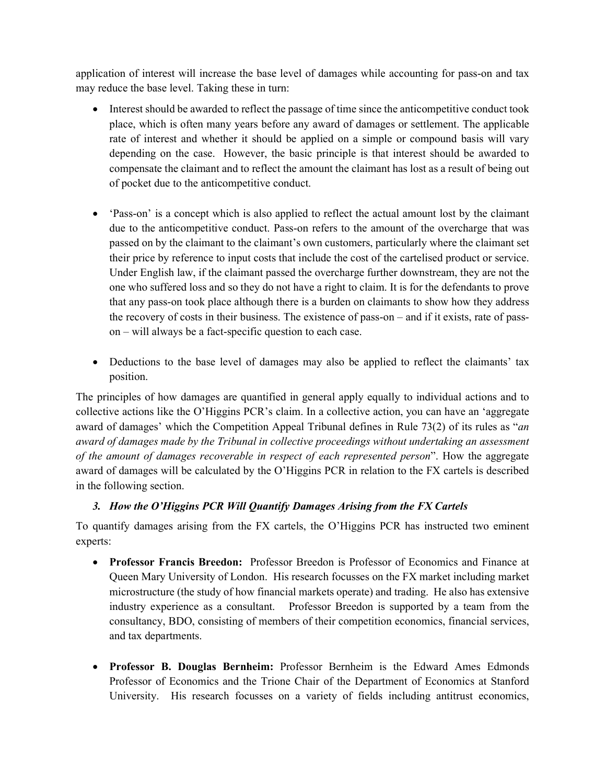application of interest will increase the base level of damages while accounting for pass-on and tax may reduce the base level. Taking these in turn:

- Interest should be awarded to reflect the passage of time since the anticompetitive conduct took place, which is often many years before any award of damages or settlement. The applicable rate of interest and whether it should be applied on a simple or compound basis will vary depending on the case. However, the basic principle is that interest should be awarded to compensate the claimant and to reflect the amount the claimant has lost as a result of being out of pocket due to the anticompetitive conduct.
- 'Pass-on' is a concept which is also applied to reflect the actual amount lost by the claimant due to the anticompetitive conduct. Pass-on refers to the amount of the overcharge that was passed on by the claimant to the claimant's own customers, particularly where the claimant set their price by reference to input costs that include the cost of the cartelised product or service. Under English law, if the claimant passed the overcharge further downstream, they are not the one who suffered loss and so they do not have a right to claim. It is for the defendants to prove that any pass-on took place although there is a burden on claimants to show how they address the recovery of costs in their business. The existence of pass-on – and if it exists, rate of passon – will always be a fact-specific question to each case.
- Deductions to the base level of damages may also be applied to reflect the claimants' tax position.

The principles of how damages are quantified in general apply equally to individual actions and to collective actions like the O'Higgins PCR's claim. In a collective action, you can have an 'aggregate award of damages' which the Competition Appeal Tribunal defines in Rule 73(2) of its rules as "*an award of damages made by the Tribunal in collective proceedings without undertaking an assessment of the amount of damages recoverable in respect of each represented person*". How the aggregate award of damages will be calculated by the O'Higgins PCR in relation to the FX cartels is described in the following section.

## *3. How the O'Higgins PCR Will Quantify Damages Arising from the FX Cartels*

To quantify damages arising from the FX cartels, the O'Higgins PCR has instructed two eminent experts:

- **Professor Francis Breedon:** Professor Breedon is Professor of Economics and Finance at Queen Mary University of London. His research focusses on the FX market including market microstructure (the study of how financial markets operate) and trading. He also has extensive industry experience as a consultant. Professor Breedon is supported by a team from the consultancy, BDO, consisting of members of their competition economics, financial services, and tax departments.
- **Professor B. Douglas Bernheim:** Professor Bernheim is the Edward Ames Edmonds Professor of Economics and the Trione Chair of the Department of Economics at Stanford University. His research focusses on a variety of fields including antitrust economics,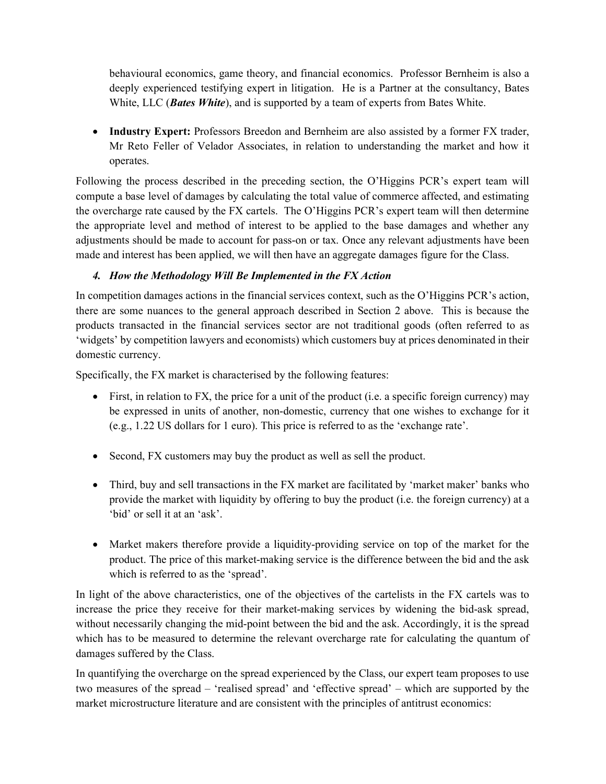behavioural economics, game theory, and financial economics. Professor Bernheim is also a deeply experienced testifying expert in litigation. He is a Partner at the consultancy, Bates White, LLC (*Bates White*), and is supported by a team of experts from Bates White.

• **Industry Expert:** Professors Breedon and Bernheim are also assisted by a former FX trader, Mr Reto Feller of Velador Associates, in relation to understanding the market and how it operates.

Following the process described in the preceding section, the O'Higgins PCR's expert team will compute a base level of damages by calculating the total value of commerce affected, and estimating the overcharge rate caused by the FX cartels. The O'Higgins PCR's expert team will then determine the appropriate level and method of interest to be applied to the base damages and whether any adjustments should be made to account for pass-on or tax. Once any relevant adjustments have been made and interest has been applied, we will then have an aggregate damages figure for the Class.

## *4. How the Methodology Will Be Implemented in the FX Action*

In competition damages actions in the financial services context, such as the O'Higgins PCR's action, there are some nuances to the general approach described in Section 2 above. This is because the products transacted in the financial services sector are not traditional goods (often referred to as 'widgets' by competition lawyers and economists) which customers buy at prices denominated in their domestic currency.

Specifically, the FX market is characterised by the following features:

- First, in relation to FX, the price for a unit of the product (i.e. a specific foreign currency) may be expressed in units of another, non-domestic, currency that one wishes to exchange for it (e.g., 1.22 US dollars for 1 euro). This price is referred to as the 'exchange rate'.
- Second, FX customers may buy the product as well as sell the product.
- Third, buy and sell transactions in the FX market are facilitated by 'market maker' banks who provide the market with liquidity by offering to buy the product (i.e. the foreign currency) at a 'bid' or sell it at an 'ask'.
- Market makers therefore provide a liquidity-providing service on top of the market for the product. The price of this market-making service is the difference between the bid and the ask which is referred to as the 'spread'.

In light of the above characteristics, one of the objectives of the cartelists in the FX cartels was to increase the price they receive for their market-making services by widening the bid-ask spread, without necessarily changing the mid-point between the bid and the ask. Accordingly, it is the spread which has to be measured to determine the relevant overcharge rate for calculating the quantum of damages suffered by the Class.

In quantifying the overcharge on the spread experienced by the Class, our expert team proposes to use two measures of the spread – 'realised spread' and 'effective spread' – which are supported by the market microstructure literature and are consistent with the principles of antitrust economics: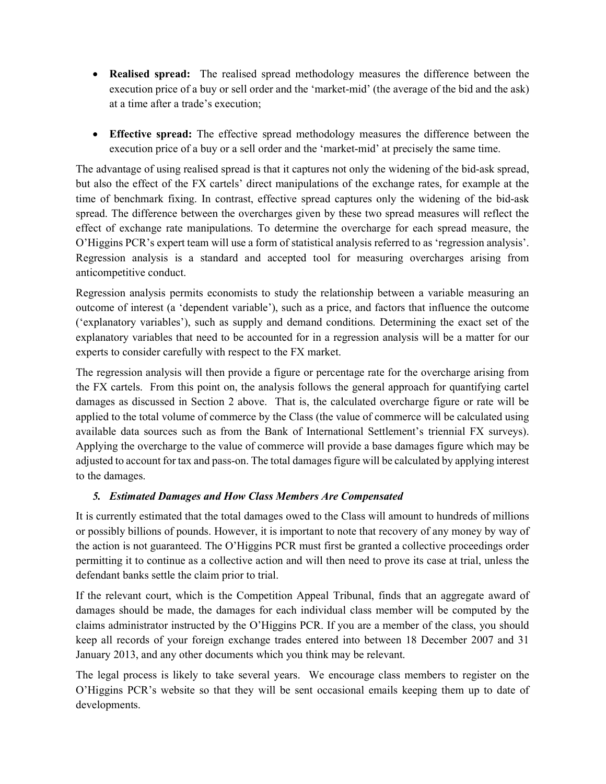- **Realised spread:** The realised spread methodology measures the difference between the execution price of a buy or sell order and the 'market-mid' (the average of the bid and the ask) at a time after a trade's execution;
- **Effective spread:** The effective spread methodology measures the difference between the execution price of a buy or a sell order and the 'market-mid' at precisely the same time.

The advantage of using realised spread is that it captures not only the widening of the bid-ask spread, but also the effect of the FX cartels' direct manipulations of the exchange rates, for example at the time of benchmark fixing. In contrast, effective spread captures only the widening of the bid-ask spread. The difference between the overcharges given by these two spread measures will reflect the effect of exchange rate manipulations. To determine the overcharge for each spread measure, the O'Higgins PCR's expert team will use a form of statistical analysis referred to as 'regression analysis'. Regression analysis is a standard and accepted tool for measuring overcharges arising from anticompetitive conduct.

Regression analysis permits economists to study the relationship between a variable measuring an outcome of interest (a 'dependent variable'), such as a price, and factors that influence the outcome ('explanatory variables'), such as supply and demand conditions. Determining the exact set of the explanatory variables that need to be accounted for in a regression analysis will be a matter for our experts to consider carefully with respect to the FX market.

The regression analysis will then provide a figure or percentage rate for the overcharge arising from the FX cartels. From this point on, the analysis follows the general approach for quantifying cartel damages as discussed in Section 2 above. That is, the calculated overcharge figure or rate will be applied to the total volume of commerce by the Class (the value of commerce will be calculated using available data sources such as from the Bank of International Settlement's triennial FX surveys). Applying the overcharge to the value of commerce will provide a base damages figure which may be adjusted to account for tax and pass-on. The total damages figure will be calculated by applying interest to the damages.

### *5. Estimated Damages and How Class Members Are Compensated*

It is currently estimated that the total damages owed to the Class will amount to hundreds of millions or possibly billions of pounds. However, it is important to note that recovery of any money by way of the action is not guaranteed. The O'Higgins PCR must first be granted a collective proceedings order permitting it to continue as a collective action and will then need to prove its case at trial, unless the defendant banks settle the claim prior to trial.

If the relevant court, which is the Competition Appeal Tribunal, finds that an aggregate award of damages should be made, the damages for each individual class member will be computed by the claims administrator instructed by the O'Higgins PCR. If you are a member of the class, you should keep all records of your foreign exchange trades entered into between 18 December 2007 and 31 January 2013, and any other documents which you think may be relevant.

The legal process is likely to take several years. We encourage class members to register on the O'Higgins PCR's website so that they will be sent occasional emails keeping them up to date of developments.